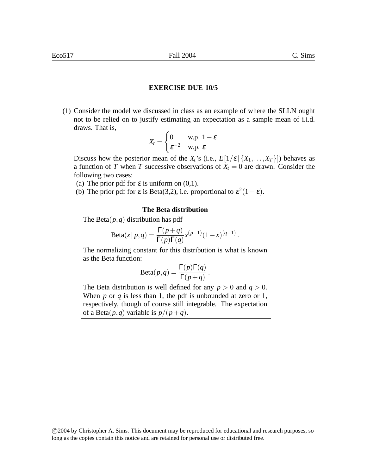## **EXERCISE DUE 10/5**

(1) Consider the model we discussed in class as an example of where the SLLN ought not to be relied on to justify estimating an expectation as a sample mean of i.i.d. draws. That is,  $\overline{a}$ 

$$
X_t = \begin{cases} 0 & \text{w.p. } 1 - \varepsilon \\ \varepsilon^{-2} & \text{w.p. } \varepsilon \end{cases}
$$

Discuss how the posterior mean of the *X<sub>t</sub>*'s (i.e.,  $E[1/\varepsilon | {X_1, ..., X_T}]$ ) behaves as a function of *T* when *T* successive observations of  $X_t = 0$  are drawn. Consider the following two cases:

- (a) The prior pdf for  $\varepsilon$  is uniform on (0,1).
- (b) The prior pdf for  $\varepsilon$  is Beta(3,2), i.e. proportional to  $\varepsilon^2(1-\varepsilon)$ .

# **The Beta distribution**

The Beta(*p*,*q*) distribution has pdf

Beta
$$
(x | p, q)
$$
 =  $\frac{\Gamma(p+q)}{\Gamma(p)\Gamma(q)} x^{(p-1)} (1-x)^{(q-1)}$ .

The normalizing constant for this distribution is what is known as the Beta function:

$$
Beta(p,q) = \frac{\Gamma(p)\Gamma(q)}{\Gamma(p+q)}.
$$

The Beta distribution is well defined for any  $p > 0$  and  $q > 0$ . When *p* or *q* is less than 1, the pdf is unbounded at zero or 1, respectively, though of course still integrable. The expectation of a Beta $(p,q)$  variable is  $p/(p+q)$ .

<sup>°</sup>c 2004 by Christopher A. Sims. This document may be reproduced for educational and research purposes, so long as the copies contain this notice and are retained for personal use or distributed free.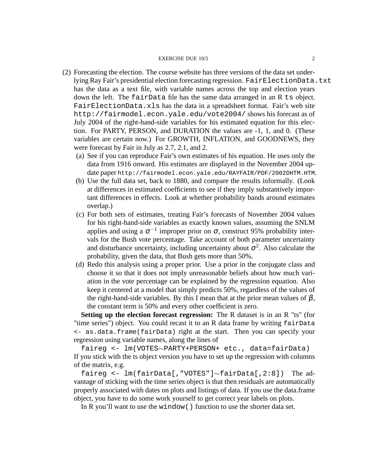#### EXERCISE DUE 10/5 2

- (2) Forecasting the election. The course website has three versions of the data set underlying Ray Fair's presidential election forecasting regression. FairElectionData.txt has the data as a text file, with variable names across the top and election years down the left. The fairData file has the same data arranged in an R ts object. FairElectionData.xls has the data in a spreadsheet format. Fair's web site http://fairmodel.econ.yale.edu/vote2004/ shows his forecast as of July 2004 of the right-hand-side variables for his estimated equation for this election. For PARTY, PERSON, and DURATION the values are -1, 1, and 0. (These variables are certain now.) For GROWTH, INFLATION, and GOODNEWS, they were forecast by Fair in July as 2.7, 2.1, and 2.
	- (a) See if you can reproduce Fair's own estimates of his equation. He uses only the data from 1916 onward. His estimates are displayed in the November 2004 update paper http://fairmodel.econ.yale.edu/RAYFAIR/PDF/2002DHTM.HTM.
	- (b) Use the full data set, back to 1880, and compare the results informally. (Look at differences in estimated coefficients to see if they imply substantively important differences in effects. Look at whether probability bands around estimates overlap.)
	- (c) For both sets of estimates, treating Fair's forecasts of November 2004 values for his right-hand-side variables as exactly known values, assuming the SNLM applies and using a  $\sigma^{-1}$  improper prior on  $\sigma$ , construct 95% probability intervals for the Bush vote percentage. Take account of both parameter uncertainty and disturbance uncertainty, including uncertainty about  $\sigma^2$ . Also calculate the probability, given the data, that Bush gets more than 50%.
	- (d) Redo this analysis using a proper prior. Use a prior in the conjugate class and choose it so that it does not imply unreasonable beliefs about how much variation in the vote percentage can be explained by the regression equation. Also keep it centered at a model that simply predicts 50%, regardless of the values of the right-hand-side variables. By this I mean that at the prior mean values of  $\beta$ , the constant term is 50% and every other coefficient is zero.

**Setting up the election forecast regression:** The R dataset is in an R "ts" (for "time series") object. You could recast it to an R data frame by writing fairData <- as.data.frame(fairData) right at the start. Then you can specify your regression using variable names, along the lines of

faireg <- lm(VOTES∼PARTY+PERSON+ etc., data=fairData) If you stick with the ts object version you have to set up the regression with columns of the matrix, e.g.

faireg <- lm(fairData[,"VOTES"]∼fairData[,2:8]) The advantage of sticking with the time series object is that then residuals are automatically properly associated with dates on plots and listings of data. If you use the data.frame object, you have to do some work yourself to get correct year labels on plots.

In R you'll want to use the window() function to use the shorter data set.